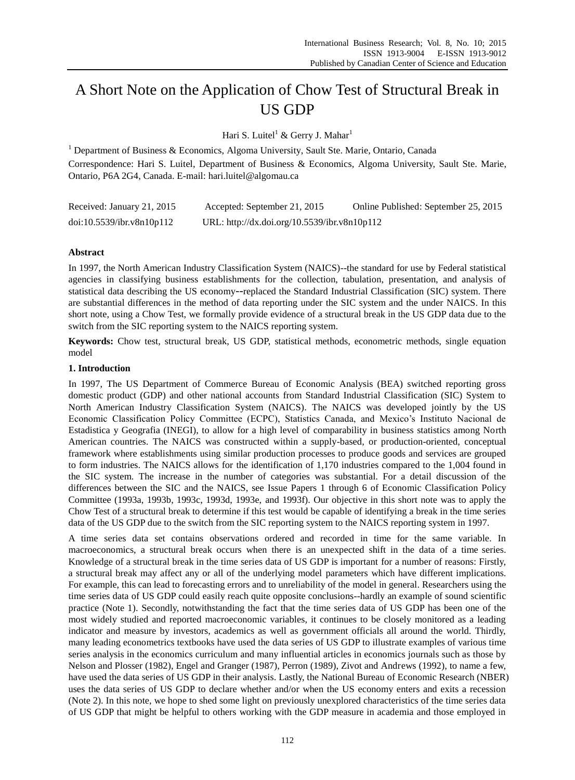# A Short Note on the Application of Chow Test of Structural Break in US GDP

Hari S. Luitel<sup>1</sup> & Gerry J. Mahar<sup>1</sup>

<sup>1</sup> Department of Business & Economics, Algoma University, Sault Ste. Marie, Ontario, Canada Correspondence: Hari S. Luitel, Department of Business & Economics, Algoma University, Sault Ste. Marie, Ontario, P6A 2G4, Canada. E-mail: hari.luitel@algomau.ca

| Received: January 21, 2015 | Accepted: September 21, 2015                 | Online Published: September 25, 2015 |
|----------------------------|----------------------------------------------|--------------------------------------|
| doi:10.5539/ibr.v8n10p112  | URL: http://dx.doi.org/10.5539/ibr.v8n10p112 |                                      |

# **Abstract**

In 1997, the North American Industry Classification System (NAICS)--the standard for use by Federal statistical agencies in classifying business establishments for the collection, tabulation, presentation, and analysis of statistical data describing the US economy--replaced the Standard Industrial Classification (SIC) system. There are substantial differences in the method of data reporting under the SIC system and the under NAICS. In this short note, using a Chow Test, we formally provide evidence of a structural break in the US GDP data due to the switch from the SIC reporting system to the NAICS reporting system.

**Keywords:** Chow test, structural break, US GDP, statistical methods, econometric methods, single equation model

## **1. Introduction**

In 1997, The US Department of Commerce Bureau of Economic Analysis (BEA) switched reporting gross domestic product (GDP) and other national accounts from Standard Industrial Classification (SIC) System to North American Industry Classification System (NAICS). The NAICS was developed jointly by the US Economic Classification Policy Committee (ECPC), Statistics Canada, and Mexico's Instituto Nacional de Estadistica y Geografia (INEGI), to allow for a high level of comparability in business statistics among North American countries. The NAICS was constructed within a supply-based, or production-oriented, conceptual framework where establishments using similar production processes to produce goods and services are grouped to form industries. The NAICS allows for the identification of 1,170 industries compared to the 1,004 found in the SIC system. The increase in the number of categories was substantial. For a detail discussion of the differences between the SIC and the NAICS, see Issue Papers 1 through 6 of Economic Classification Policy Committee (1993a, 1993b, 1993c, 1993d, 1993e, and 1993f). Our objective in this short note was to apply the Chow Test of a structural break to determine if this test would be capable of identifying a break in the time series data of the US GDP due to the switch from the SIC reporting system to the NAICS reporting system in 1997.

A time series data set contains observations ordered and recorded in time for the same variable. In macroeconomics, a structural break occurs when there is an unexpected shift in the data of a time series. Knowledge of a structural break in the time series data of US GDP is important for a number of reasons: Firstly, a structural break may affect any or all of the underlying model parameters which have different implications. For example, this can lead t[o forecasting](http://en.wikipedia.org/wiki/Forecasting) errors and to unreliability of the [model](http://en.wikipedia.org/wiki/Economic_model) in general. Researchers using the time series data of US GDP could easily reach quite opposite conclusions--hardly an example of sound scientific practice (Note 1). Secondly, notwithstanding the fact that the time series data of US GDP has been one of the most widely studied and reported macroeconomic variables, it continues to be closely monitored as a leading indicator and measure by investors, academics as well as government officials all around the world. Thirdly, many leading econometrics textbooks have used the data series of US GDP to illustrate examples of various time series analysis in the economics curriculum and many influential articles in economics journals such as those by Nelson and Plosser (1982), Engel and Granger (1987), Perron (1989), Zivot and Andrews (1992), to name a few, have used the data series of US GDP in their analysis. Lastly, the National Bureau of Economic Research (NBER) uses the data series of US GDP to declare whether and/or when the US economy enters and exits a recession (Note 2). In this note, we hope to shed some light on previously unexplored characteristics of the time series data of US GDP that might be helpful to others working with the GDP measure in academia and those employed in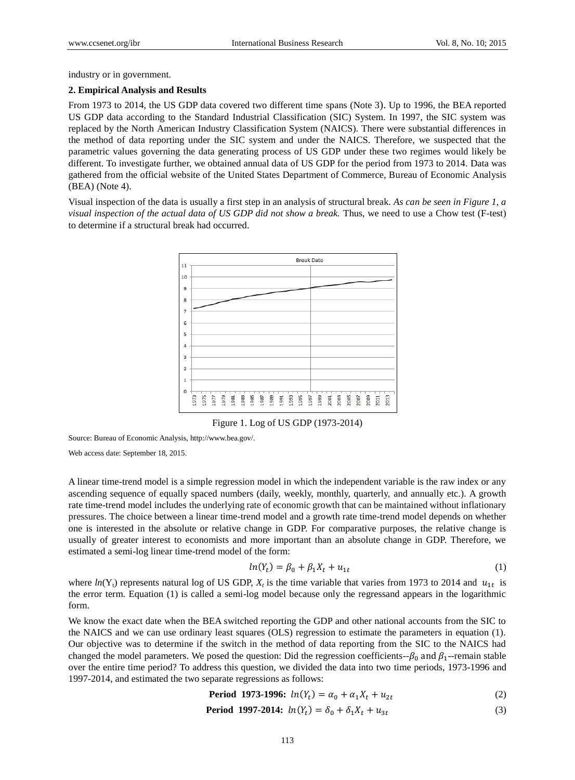industry or in government.

#### **2. Empirical Analysis and Results**

From 1973 to 2014, the US GDP data covered two different time spans (Note 3). Up to 1996, the BEA reported US GDP data according to the Standard Industrial Classification (SIC) System. In 1997, the SIC system was replaced by the North American Industry Classification System (NAICS). There were substantial differences in the method of data reporting under the SIC system and under the NAICS. Therefore, we suspected that the parametric values governing the data generating process of US GDP under these two regimes would likely be different. To investigate further, we obtained annual data of US GDP for the period from 1973 to 2014. Data was gathered from the official website of the United States Department of Commerce, Bureau of Economic Analysis (BEA) (Note 4).

Visual inspection of the data is usually a first step in an analysis of structural break. *As can be seen in Figure 1, a visual inspection of the actual data of US GDP did not show a break.* Thus, we need to use a Chow test (F-test) to determine if a structural break had occurred.



Figure 1. Log of US GDP (1973-2014)

Source: Bureau of Economic Analysis[, http://www.bea.gov/.](http://www.bea.gov/)

Web access date: September 18, 2015.

A linear time-trend model is a simple regression model in which the independent variable is the raw index or any ascending sequence of equally spaced numbers (daily, weekly, monthly, quarterly, and annually etc.). A growth rate time-trend model includes the underlying rate of economic growth that can be maintained without inflationary pressures. The choice between a linear time-trend model and a growth rate time-trend model depends on whether one is interested in the absolute or relative change in GDP. For comparative purposes, the relative change is usually of greater interest to economists and more important than an absolute change in GDP. Therefore, we estimated a semi-log linear time-trend model of the form:

$$
ln(Y_t) = \beta_0 + \beta_1 X_t + u_{1t}
$$
 (1)

where  $ln(Y_t)$  represents natural log of US GDP,  $X_t$  is the time variable that varies from 1973 to 2014 and  $u_{1t}$  is the error term. Equation (1) is called a semi-log model because only the regressand appears in the logarithmic form.

We know the exact date when the BEA switched reporting the GDP and other national accounts from the SIC to the NAICS and we can use ordinary least squares (OLS) regression to estimate the parameters in equation (1). Our objective was to determine if the switch in the method of data reporting from the SIC to the NAICS had changed the model parameters. We posed the question: Did the regression coefficients- $\beta_0$  and  $\beta_1$ --remain stable over the entire time period? To address this question, we divided the data into two time periods, 1973-1996 and 1997-2014, and estimated the two separate regressions as follows:

$$
\text{Period } 1973-1996: \ln(Y_t) = \alpha_0 + \alpha_1 X_t + u_{2t} \tag{2}
$$

$$
\text{Period } 1997 - 2014 \text{ : } \ln(Y_t) = \delta_0 + \delta_1 X_t + u_{3t} \tag{3}
$$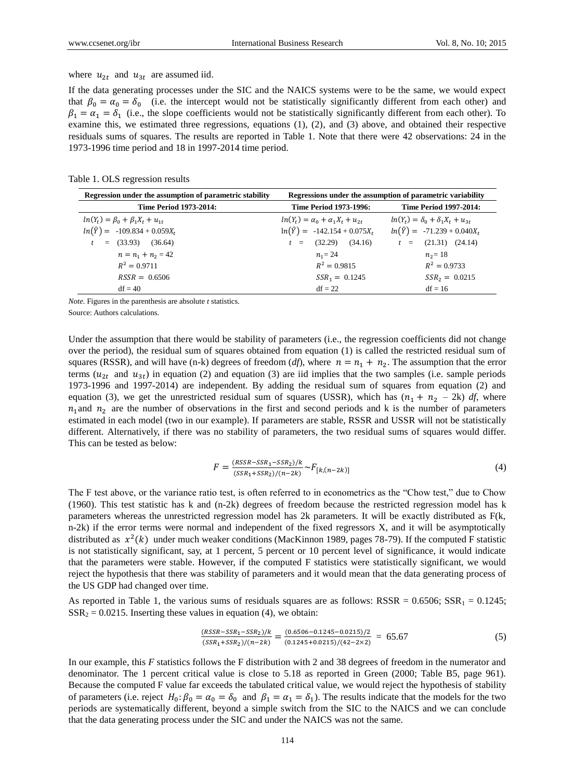#### where  $u_{2t}$  and  $u_{3t}$  are assumed iid.

If the data generating processes under the SIC and the NAICS systems were to be the same, we would expect that  $\beta_0 = \alpha_0 = \delta_0$  (i.e. the intercept would not be statistically significantly different from each other) and  $\beta_1 = \alpha_1 = \delta_1$  (i.e., the slope coefficients would not be statistically significantly different from each other). To examine this, we estimated three regressions, equations (1), (2), and (3) above, and obtained their respective residuals sums of squares. The results are reported in Table 1. Note that there were 42 observations: 24 in the 1973-1996 time period and 18 in 1997-2014 time period.

Table 1. OLS regression results

| Regression under the assumption of parametric stability | Regressions under the assumption of parametric variability |                                              |  |
|---------------------------------------------------------|------------------------------------------------------------|----------------------------------------------|--|
| <b>Time Period 1973-2014:</b>                           | <b>Time Period 1973-1996:</b>                              | <b>Time Period 1997-2014:</b>                |  |
| $ln(Y_t) = \beta_0 + \beta_1 X_t + u_{1t}$              | $ln(Y_t) = \alpha_0 + \alpha_1 X_t + u_{2t}$               | $ln(Y_t) = \delta_0 + \delta_1 X_t + u_{3t}$ |  |
| $ln(\hat{Y}) = -109.834 + 0.059X_t$                     | $ln(\hat{Y}) = -142.154 + 0.075X_t$                        | $ln(\hat{Y}) = -71.239 + 0.040X_t$           |  |
| $=$ (33.93) (36.64)                                     | (32.29)<br>(34.16)<br>$t =$                                | $t = (21.31) (24.14)$                        |  |
| $n = n_1 + n_2 = 42$                                    | $n_1 = 24$                                                 | $n_2 = 18$                                   |  |
| $R^2 = 0.9711$                                          | $R^2 = 0.9815$                                             | $R^2 = 0.9733$                               |  |
| $RSSR = 0.6506$                                         | $SSR_1 = 0.1245$                                           | $SSR_2 = 0.0215$                             |  |
| $df = 40$                                               | $df = 22$                                                  | $df = 16$                                    |  |

*Note.* Figures in the parenthesis are absolute *t* statistics.

Source: Authors calculations.

Under the assumption that there would be stability of parameters (i.e., the regression coefficients did not change over the period), the residual sum of squares obtained from equation (1) is called the restricted residual sum of squares (RSSR), and will have (n-k) degrees of freedom (*df*), where  $n = n_1 + n_2$ . The assumption that the error terms ( $u_{2t}$  and  $u_{3t}$ ) in equation (2) and equation (3) are iid implies that the two samples (i.e. sample periods 1973-1996 and 1997-2014) are independent. By adding the residual sum of squares from equation (2) and equation (3), we get the unrestricted residual sum of squares (USSR), which has  $(n_1 + n_2 - 2k)$  *df*, where  $n_1$  and  $n_2$  are the number of observations in the first and second periods and k is the number of parameters estimated in each model (two in our example). If parameters are stable, RSSR and USSR will not be statistically different. Alternatively, if there was no stability of parameters, the two residual sums of squares would differ. This can be tested as below:

$$
F = \frac{(RSSR - SSR_1 - SSR_2)/k}{(SSR_1 + SSR_2)/(n - 2k)} \sim F_{[k,(n-2k)]}
$$
(4)

The F test above, or the variance ratio test, is often referred to in econometrics as the "Chow test," due to Chow (1960). This test statistic has k and (n-2k) degrees of freedom because the restricted regression model has k parameters whereas the unrestricted regression model has 2k parameters. It will be exactly distributed as F(k, n-2k) if the error terms were normal and independent of the fixed regressors X, and it will be asymptotically distributed as  $x^2(k)$  under much weaker conditions (MacKinnon 1989, pages 78-79). If the computed F statistic is not statistically significant, say, at 1 percent, 5 percent or 10 percent level of significance, it would indicate that the parameters were stable. However, if the computed F statistics were statistically significant, we would reject the hypothesis that there was stability of parameters and it would mean that the data generating process of the US GDP had changed over time.

As reported in Table 1, the various sums of residuals squares are as follows:  $RSSR = 0.6506$ ;  $SSR<sub>1</sub> = 0.1245$ ;  $SSR<sub>2</sub> = 0.0215$ . Inserting these values in equation (4), we obtain:

$$
\frac{(RSSR - SSR_1 - SSR_2)/k}{(SSR_1 + SSR_2)/(n - 2k)} = \frac{(0.6506 - 0.1245 - 0.0215)/2}{(0.1245 + 0.0215)/(42 - 2 \times 2)} = 65.67
$$
\n(5)

In our example, this *F* statistics follows the F distribution with 2 and 38 degrees of freedom in the numerator and denominator. The 1 percent critical value is close to 5.18 as reported in Green (2000; Table B5, page 961). Because the computed F value far exceeds the tabulated critical value, we would reject the hypothesis of stability of parameters (i.e. reject  $H_0: \beta_0 = \alpha_0 = \delta_0$  and  $\beta_1 = \alpha_1 = \delta_1$ ). The results indicate that the models for the two periods are systematically different, beyond a simple switch from the SIC to the NAICS and we can conclude that the data generating process under the SIC and under the NAICS was not the same.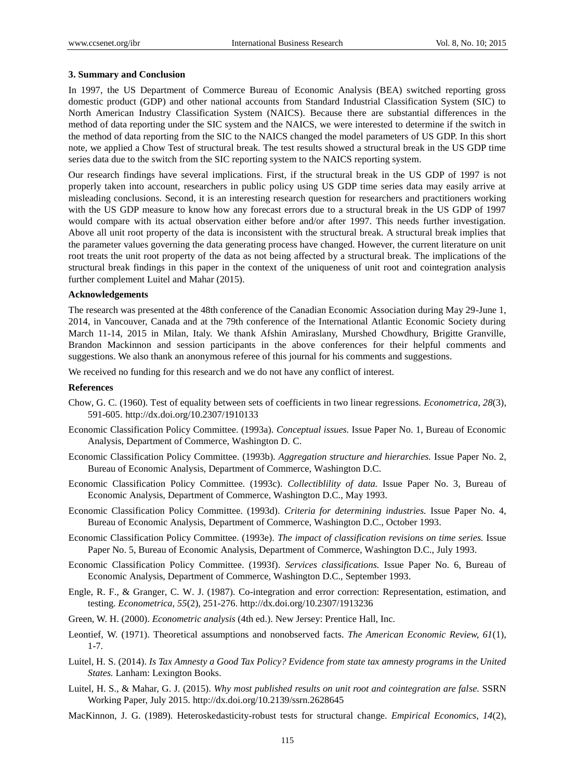#### **3. Summary and Conclusion**

In 1997, the US Department of Commerce Bureau of Economic Analysis (BEA) switched reporting gross domestic product (GDP) and other national accounts from Standard Industrial Classification System (SIC) to North American Industry Classification System (NAICS). Because there are substantial differences in the method of data reporting under the SIC system and the NAICS, we were interested to determine if the switch in the method of data reporting from the SIC to the NAICS changed the model parameters of US GDP. In this short note, we applied a Chow Test of structural break. The test results showed a structural break in the US GDP time series data due to the switch from the SIC reporting system to the NAICS reporting system.

Our research findings have several implications. First, if the structural break in the US GDP of 1997 is not properly taken into account, researchers in public policy using US GDP time series data may easily arrive at misleading conclusions. Second, it is an interesting research question for researchers and practitioners working with the US GDP measure to know how any forecast errors due to a structural break in the US GDP of 1997 would compare with its actual observation either before and/or after 1997. This needs further investigation. Above all unit root property of the data is inconsistent with the structural break. A structural break implies that the parameter values governing the data generating process have changed. However, the current literature on unit root treats the unit root property of the data as not being affected by a structural break. The implications of the structural break findings in this paper in the context of the uniqueness of unit root and cointegration analysis further complement Luitel and Mahar (2015).

#### **Acknowledgements**

The research was presented at the 48th conference of the Canadian Economic Association during May 29-June 1, 2014, in Vancouver, Canada and at the 79th conference of the International Atlantic Economic Society during March 11-14, 2015 in Milan, Italy. We thank Afshin Amiraslany, Murshed Chowdhury, Brigitte Granville, Brandon Mackinnon and session participants in the above conferences for their helpful comments and suggestions. We also thank an anonymous referee of this journal for his comments and suggestions.

We received no funding for this research and we do not have any conflict of interest.

### **References**

- Chow, G. C. (1960). Test of equality between sets of coefficients in two linear regressions. *Econometrica, 28*(3), 591-605. <http://dx.doi.org/10.2307/1910133>
- Economic Classification Policy Committee. (1993a). *Conceptual issues.* Issue Paper No. 1, Bureau of Economic Analysis, Department of Commerce, Washington D. C.
- Economic Classification Policy Committee. (1993b). *Aggregation structure and hierarchies.* Issue Paper No. 2, Bureau of Economic Analysis, Department of Commerce, Washington D.C.
- Economic Classification Policy Committee. (1993c). *Collectiblility of data.* Issue Paper No. 3, Bureau of Economic Analysis, Department of Commerce, Washington D.C., May 1993.
- Economic Classification Policy Committee. (1993d). *Criteria for determining industries.* Issue Paper No. 4, Bureau of Economic Analysis, Department of Commerce, Washington D.C., October 1993.
- Economic Classification Policy Committee. (1993e). *The impact of classification revisions on time series.* Issue Paper No. 5, Bureau of Economic Analysis, Department of Commerce, Washington D.C., July 1993.
- Economic Classification Policy Committee. (1993f). *Services classifications.* Issue Paper No. 6, Bureau of Economic Analysis, Department of Commerce, Washington D.C., September 1993.
- Engle, R. F., & Granger, C. W. J. (1987). Co-integration and error correction: Representation, estimation, and testing. *Econometrica, 55*(2), 251-276. <http://dx.doi.org/10.2307/1913236>
- Green, W. H. (2000). *Econometric analysis* (4th ed.). New Jersey: Prentice Hall, Inc.
- Leontief, W. (1971). Theoretical assumptions and nonobserved facts. *The American Economic Review, 61*(1), 1-7.
- Luitel, H. S. (2014). *Is Tax Amnesty a Good Tax Policy? Evidence from state tax amnesty programs in the United States.* Lanham: Lexington Books.
- Luitel, H. S., & Mahar, G. J. (2015). *Why most published results on unit root and cointegration are false.* SSRN Working Paper, July 2015[. http://dx.doi.org/10.2139/ssrn.2628645](http://dx.doi.org/10.2139/ssrn.2628645)
- MacKinnon, J. G. (1989). Heteroskedasticity-robust tests for structural change. *Empirical Economics, 14*(2),